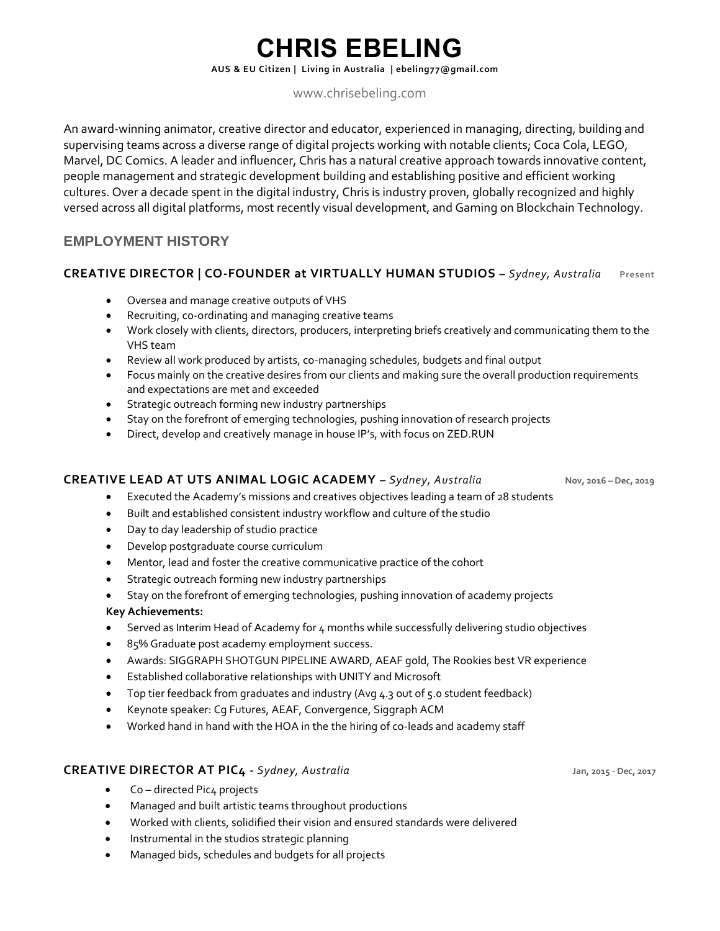# **CHRIS EBELING**

**AUS & EU Citizen | Living in Australia [| ebeling77@gmail.com](mailto:marquinhocaiafa@gmail.com)**

# [www.chrisebeling.com](http://www.chrisebeling.com/)

An award-winning animator, creative director and educator, experienced in managing, directing, building and supervising teams across a diverse range of digital projects working with notable clients; Coca Cola, LEGO, Marvel, DC Comics. A leader and influencer, Chris has a natural creative approach towards innovative content, people management and strategic development building and establishing positive and efficient working cultures. Over a decade spent in the digital industry, Chris is industry proven, globally recognized and highly versed across all digital platforms, most recently visual development, and Gaming on Blockchain Technology.

# **EMPLOYMENT HISTORY**

## **CREATIVE DIRECTOR | CO-FOUNDER at VIRTUALLY HUMAN STUDIOS –** *Sydney, Australia* **Present**

- Oversea and manage creative outputs of VHS
- Recruiting, co-ordinating and managing creative teams
- Work closely with clients, directors, producers, interpreting briefs creatively and communicating them to the VHS team
- Review all work produced by artists, co-managing schedules, budgets and final output
- Focus mainly on the creative desires from our clients and making sure the overall production requirements and expectations are met and exceeded
- Strategic outreach forming new industry partnerships
- Stay on the forefront of emerging technologies, pushing innovation of research projects
- Direct, develop and creatively manage in house IP's, with focus on ZED.RUN

### **CREATIVE LEAD AT UTS ANIMAL LOGIC ACADEMY –** *Sydney, Australia* **Nov, 2016 – Dec, 2019**

- Executed the Academy's missions and creatives objectives leading a team of 28 students
- Built and established consistent industry workflow and culture of the studio
- Day to day leadership of studio practice
- Develop postgraduate course curriculum
- Mentor, lead and foster the creative communicative practice of the cohort
- Strategic outreach forming new industry partnerships
- Stay on the forefront of emerging technologies, pushing innovation of academy projects

### **Key Achievements:**

- Served as Interim Head of Academy for 4 months while successfully delivering studio objectives
- 85% Graduate post academy employment success.
- Awards: SIGGRAPH SHOTGUN PIPELINE AWARD, AEAF gold, The Rookies best VR experience
- Established collaborative relationships with UNITY and Microsoft
- Top tier feedback from graduates and industry (Avg 4.3 out of 5.0 student feedback)
- Keynote speaker: Cg Futures, AEAF, Convergence, Siggraph ACM
- Worked hand in hand with the HOA in the the hiring of co-leads and academy staff

### **CREATIVE DIRECTOR AT PIC4 -** *Sydney, Australia* **Jan, 2015 - Dec, 2017**

- Co directed Pic4 projects
- Managed and built artistic teams throughout productions
- Worked with clients, solidified their vision and ensured standards were delivered
- Instrumental in the studios strategic planning
- Managed bids, schedules and budgets for all projects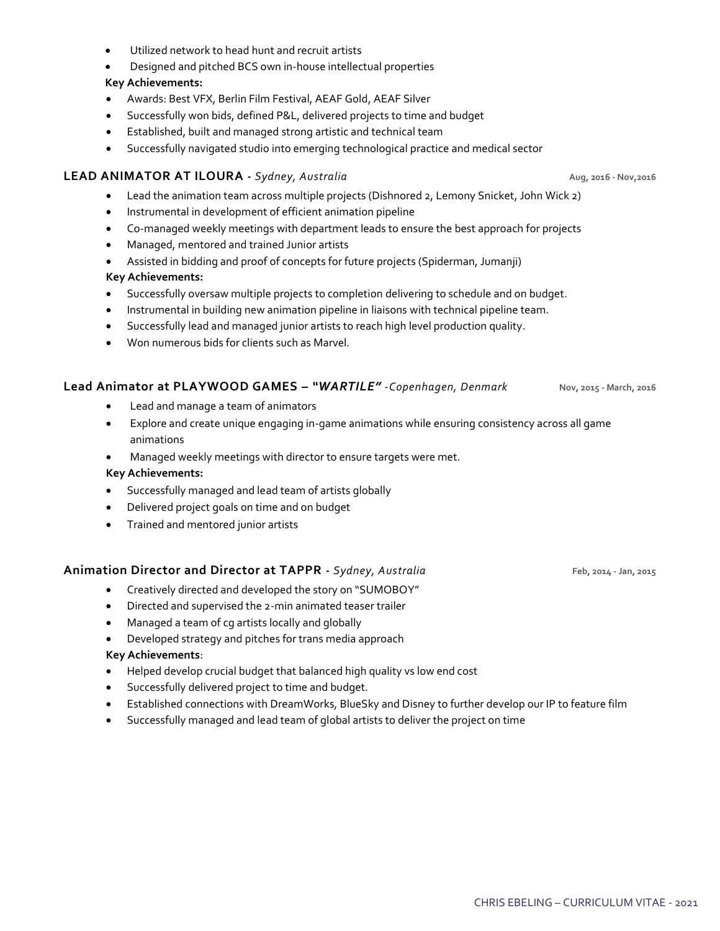- Utilized network to head hunt and recruit artists
- Designed and pitched BCS own in-house intellectual properties

### **Key Achievements:**

- Awards: Best VFX, Berlin Film Festival, AEAF Gold, AEAF Silver
- Successfully won bids, defined P&L, delivered projects to time and budget
- Established, built and managed strong artistic and technical team
- Successfully navigated studio into emerging technological practice and medical sector

### **LEAD ANIMATOR AT ILOURA -** *Sydney, Australia* **Aug, 2016 - Nov,2016**

- Lead the animation team across multiple projects (Dishnored 2, Lemony Snicket, John Wick 2)
- Instrumental in development of efficient animation pipeline
- Co-managed weekly meetings with department leads to ensure the best approach for projects
- Managed, mentored and trained Junior artists
- Assisted in bidding and proof of concepts for future projects (Spiderman, Jumanji)

### **Key Achievements:**

- Successfully oversaw multiple projects to completion delivering to schedule and on budget.
- Instrumental in building new animation pipeline in liaisons with technical pipeline team.
- Successfully lead and managed junior artists to reach high level production quality.
- Won numerous bids for clients such as Marvel.

### **Lead Animator at PLAYWOOD GAMES –** *"WARTILE"* -*Copenhagen, Denmark* **Nov, 2015 - March, 2016**

- Lead and manage a team of animators
- Explore and create unique engaging in-game animations while ensuring consistency across all game animations
- Managed weekly meetings with director to ensure targets were met.

### **Key Achievements:**

- Successfully managed and lead team of artists globally
- Delivered project goals on time and on budget
- Trained and mentored junior artists

### **Animation Director and Director at TAPPR -** *Sydney, Australia* **Feb, 2014 - Jan, 2015**

- Creatively directed and developed the story on "SUMOBOY"
- Directed and supervised the 2-min animated teaser trailer
- Managed a team of cg artists locally and globally
- Developed strategy and pitches for trans media approach

### **Key Achievements**:

- Helped develop crucial budget that balanced high quality vs low end cost
- Successfully delivered project to time and budget.
- Established connections with DreamWorks, BlueSky and Disney to further develop our IP to feature film
- Successfully managed and lead team of global artists to deliver the project on time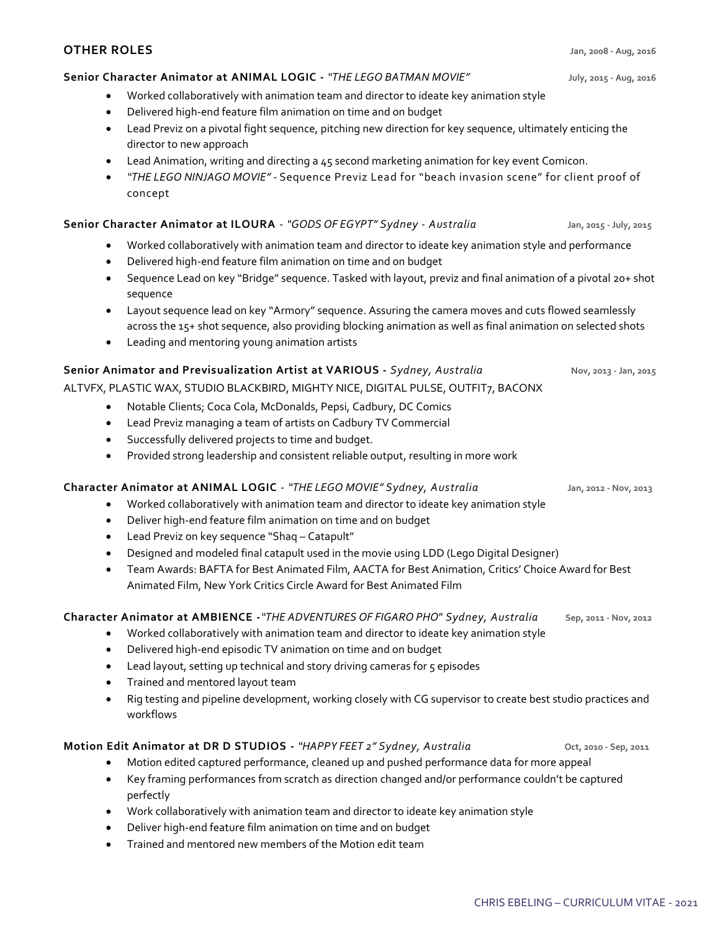# **OTHER ROLES Jan, 2008 - Aug, 2016**

# **Senior Character Animator at ANIMAL LOGIC -** *"THE LEGO BATMAN MOVIE"* **July, 2015 - Aug, 2016**

- Worked collaboratively with animation team and director to ideate key animation style
- Delivered high-end feature film animation on time and on budget
- Lead Previz on a pivotal fight sequence, pitching new direction for key sequence, ultimately enticing the director to new approach
- Lead Animation, writing and directing a 45 second marketing animation for key event Comicon.
- *"THE LEGO NINJAGO MOVIE" -* Sequence Previz Lead for "beach invasion scene" for client proof of concept

# **Senior Character Animator at ILOURA** - *"GODS OF EGYPT" Sydney - Australia* **Jan, 2015 - July, 2015**

- Worked collaboratively with animation team and director to ideate key animation style and performance
- Delivered high-end feature film animation on time and on budget
- Sequence Lead on key "Bridge" sequence. Tasked with layout, previz and final animation of a pivotal 20+ shot sequence
- Layout sequence lead on key "Armory" sequence. Assuring the camera moves and cuts flowed seamlessly across the 15+ shot sequence, also providing blocking animation as well as final animation on selected shots
- Leading and mentoring young animation artists

# **Senior Animator and Previsualization Artist at VARIOUS -** *Sydney, Australia* **Nov, 2013 - Jan, 2015**

# ALTVFX, PLASTIC WAX, STUDIO BLACKBIRD, MIGHTY NICE, DIGITAL PULSE, OUTFIT7, BACONX

- Notable Clients; Coca Cola, McDonalds, Pepsi, Cadbury, DC Comics
- Lead Previz managing a team of artists on Cadbury TV Commercial
- Successfully delivered projects to time and budget.
- Provided strong leadership and consistent reliable output, resulting in more work

# **Character Animator at ANIMAL LOGIC** - *"THE LEGO MOVIE" Sydney, Australia* **Jan, 2012 - Nov, 2013**

- Worked collaboratively with animation team and director to ideate key animation style
- Deliver high-end feature film animation on time and on budget
- Lead Previz on key sequence "Shaq Catapult"
- Designed and modeled final catapult used in the movie using LDD (Lego Digital Designer)
- Team Awards: BAFTA for Best Animated Film, AACTA for Best Animation, Critics' Choice Award for Best Animated Film, New York Critics Circle Award for Best Animated Film

# **Character Animator at AMBIENCE -***"THE ADVENTURES OF FIGARO PHO*" *Sydney, Australia* **Sep, 2011 - Nov, 2012**

- Worked collaboratively with animation team and director to ideate key animation style
- Delivered high-end episodic TV animation on time and on budget
- Lead layout, setting up technical and story driving cameras for 5 episodes
- Trained and mentored layout team
- Rig testing and pipeline development, working closely with CG supervisor to create best studio practices and workflows

# **Motion Edit Animator at DR D STUDIOS -** *"HAPPY FEET 2" Sydney, Australia* **Oct, 2010 - Sep, 2011**

- Motion edited captured performance, cleaned up and pushed performance data for more appeal
- Key framing performances from scratch as direction changed and/or performance couldn't be captured perfectly
- Work collaboratively with animation team and director to ideate key animation style
- Deliver high-end feature film animation on time and on budget
- Trained and mentored new members of the Motion edit team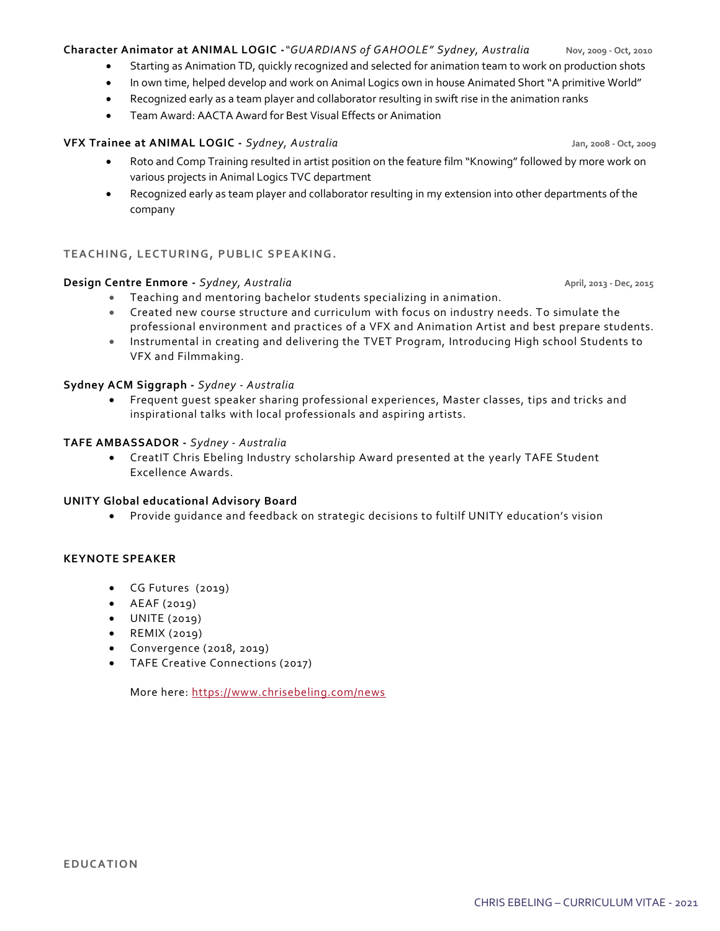### **Character Animator at ANIMAL LOGIC -***"GUARDIANS of GAHOOLE" Sydney, Australia* **Nov, 2009 - Oct, 2010**

- Starting as Animation TD, quickly recognized and selected for animation team to work on production shots
- In own time, helped develop and work on Animal Logics own in house Animated Short "A primitive World"
- Recognized early as a team player and collaborator resulting in swift rise in the animation ranks
- Team Award: AACTA Award for Best Visual Effects or Animation

## **VFX Trainee at ANIMAL LOGIC -** *Sydney, Australia* **Jan, 2008 - Oct, 2009**

- Roto and Comp Training resulted in artist position on the feature film "Knowing" followed by more work on various projects in Animal Logics TVC department
- Recognized early as team player and collaborator resulting in my extension into other departments of the company

### **TEACHING, LECTURING, PUBLIC SPEAKING.**

### **Design Centre Enmore -** *Sydney, Australia* **April, 2013 - Dec, 2015**

- Teaching and mentoring bachelor students specializing in animation.
- Created new course structure and curriculum with focus on industry needs. To simulate the professional environment and practices of a VFX and Animation Artist and best prepare students.
- Instrumental in creating and delivering the TVET Program, Introducing High school Students to VFX and Filmmaking.

### **Sydney ACM Siggraph -** *Sydney - Australia*

• Frequent guest speaker sharing professional experiences, Master classes, tips and tricks and inspirational talks with local professionals and aspiring artists.

### **TAFE AMBASSADOR -** *Sydney - Australia*

• CreatIT Chris Ebeling Industry scholarship Award presented at the yearly TAFE Student Excellence Awards.

### **UNITY Global educational Advisory Board**

• Provide guidance and feedback on strategic decisions to fultilf UNITY education's vision

### **KEYNOTE SPEAKER**

- CG Futures (2019)
- AEAF (2019)
- UNITE (2019)
- REMIX (2019)
- Convergence (2018, 2019)
- TAFE Creative Connections (2017)

More here:<https://www.chrisebeling.com/news>